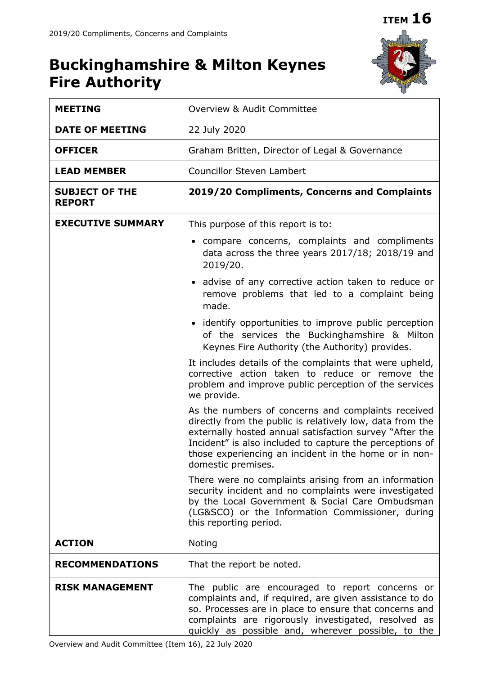# **Buckinghamshire & Milton Keynes Fire Authority**



| <b>MEETING</b>                         | Overview & Audit Committee                                                                                                                                                                                                                                                                                                                                                                                                                                                                                  |  |  |  |  |
|----------------------------------------|-------------------------------------------------------------------------------------------------------------------------------------------------------------------------------------------------------------------------------------------------------------------------------------------------------------------------------------------------------------------------------------------------------------------------------------------------------------------------------------------------------------|--|--|--|--|
| <b>DATE OF MEETING</b>                 | 22 July 2020                                                                                                                                                                                                                                                                                                                                                                                                                                                                                                |  |  |  |  |
| <b>OFFICER</b>                         | Graham Britten, Director of Legal & Governance                                                                                                                                                                                                                                                                                                                                                                                                                                                              |  |  |  |  |
| <b>LEAD MEMBER</b>                     | <b>Councillor Steven Lambert</b>                                                                                                                                                                                                                                                                                                                                                                                                                                                                            |  |  |  |  |
| <b>SUBJECT OF THE</b><br><b>REPORT</b> | 2019/20 Compliments, Concerns and Complaints                                                                                                                                                                                                                                                                                                                                                                                                                                                                |  |  |  |  |
| <b>EXECUTIVE SUMMARY</b>               | This purpose of this report is to:<br>• compare concerns, complaints and compliments<br>data across the three years 2017/18; 2018/19 and<br>2019/20.                                                                                                                                                                                                                                                                                                                                                        |  |  |  |  |
|                                        |                                                                                                                                                                                                                                                                                                                                                                                                                                                                                                             |  |  |  |  |
|                                        | • advise of any corrective action taken to reduce or<br>remove problems that led to a complaint being<br>made.                                                                                                                                                                                                                                                                                                                                                                                              |  |  |  |  |
|                                        | • identify opportunities to improve public perception<br>of the services the Buckinghamshire & Milton<br>Keynes Fire Authority (the Authority) provides.                                                                                                                                                                                                                                                                                                                                                    |  |  |  |  |
|                                        | It includes details of the complaints that were upheld,<br>corrective action taken to reduce or remove the<br>problem and improve public perception of the services<br>we provide.<br>As the numbers of concerns and complaints received<br>directly from the public is relatively low, data from the<br>externally hosted annual satisfaction survey "After the<br>Incident" is also included to capture the perceptions of<br>those experiencing an incident in the home or in non-<br>domestic premises. |  |  |  |  |
|                                        |                                                                                                                                                                                                                                                                                                                                                                                                                                                                                                             |  |  |  |  |
|                                        | There were no complaints arising from an information<br>security incident and no complaints were investigated<br>by the Local Government & Social Care Ombudsman<br>(LG&SCO) or the Information Commissioner, during<br>this reporting period.                                                                                                                                                                                                                                                              |  |  |  |  |
| <b>ACTION</b>                          | Noting                                                                                                                                                                                                                                                                                                                                                                                                                                                                                                      |  |  |  |  |
| <b>RECOMMENDATIONS</b>                 | That the report be noted.                                                                                                                                                                                                                                                                                                                                                                                                                                                                                   |  |  |  |  |
| <b>RISK MANAGEMENT</b>                 | The public are encouraged to report concerns or<br>complaints and, if required, are given assistance to do<br>so. Processes are in place to ensure that concerns and<br>complaints are rigorously investigated, resolved as<br>quickly as possible and, wherever possible, to the                                                                                                                                                                                                                           |  |  |  |  |

Overview and Audit Committee (Item 16), 22 July 2020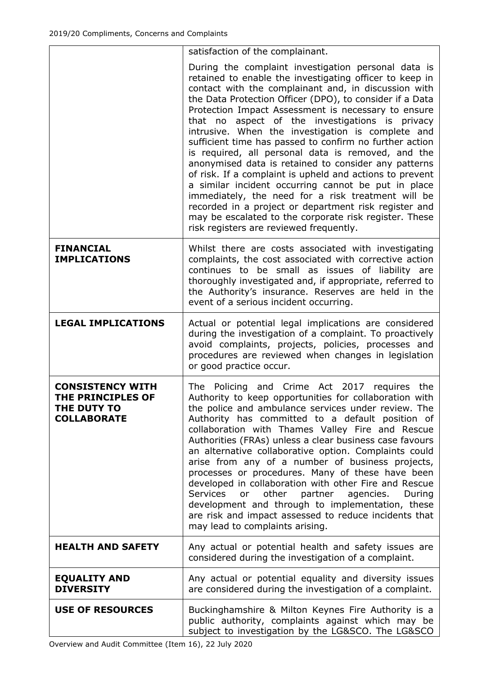|                                                                                          | satisfaction of the complainant.                                                                                                                                                                                                                                                                                                                                                                                                                                                                                                                                                                                                                                                                                                                                                                                                                                                                                     |  |  |
|------------------------------------------------------------------------------------------|----------------------------------------------------------------------------------------------------------------------------------------------------------------------------------------------------------------------------------------------------------------------------------------------------------------------------------------------------------------------------------------------------------------------------------------------------------------------------------------------------------------------------------------------------------------------------------------------------------------------------------------------------------------------------------------------------------------------------------------------------------------------------------------------------------------------------------------------------------------------------------------------------------------------|--|--|
|                                                                                          | During the complaint investigation personal data is<br>retained to enable the investigating officer to keep in<br>contact with the complainant and, in discussion with<br>the Data Protection Officer (DPO), to consider if a Data<br>Protection Impact Assessment is necessary to ensure<br>aspect of the investigations is privacy<br>that no<br>intrusive. When the investigation is complete and<br>sufficient time has passed to confirm no further action<br>is required, all personal data is removed, and the<br>anonymised data is retained to consider any patterns<br>of risk. If a complaint is upheld and actions to prevent<br>a similar incident occurring cannot be put in place<br>immediately, the need for a risk treatment will be<br>recorded in a project or department risk register and<br>may be escalated to the corporate risk register. These<br>risk registers are reviewed frequently. |  |  |
| <b>FINANCIAL</b><br><b>IMPLICATIONS</b>                                                  | Whilst there are costs associated with investigating<br>complaints, the cost associated with corrective action<br>continues to be small as issues of liability are<br>thoroughly investigated and, if appropriate, referred to<br>the Authority's insurance. Reserves are held in the<br>event of a serious incident occurring.                                                                                                                                                                                                                                                                                                                                                                                                                                                                                                                                                                                      |  |  |
| <b>LEGAL IMPLICATIONS</b>                                                                | Actual or potential legal implications are considered<br>during the investigation of a complaint. To proactively<br>avoid complaints, projects, policies, processes and<br>procedures are reviewed when changes in legislation<br>or good practice occur.                                                                                                                                                                                                                                                                                                                                                                                                                                                                                                                                                                                                                                                            |  |  |
| <b>CONSISTENCY WITH</b><br><b>THE PRINCIPLES OF</b><br>THE DUTY TO<br><b>COLLABORATE</b> | The Policing and Crime Act 2017 requires the<br>Authority to keep opportunities for collaboration with<br>the police and ambulance services under review. The<br>Authority has committed to a default position of<br>collaboration with Thames Valley Fire and Rescue<br>Authorities (FRAs) unless a clear business case favours<br>an alternative collaborative option. Complaints could<br>arise from any of a number of business projects,<br>processes or procedures. Many of these have been<br>developed in collaboration with other Fire and Rescue<br><b>Services</b><br>other<br>partner<br>agencies.<br>During<br>or<br>development and through to implementation, these<br>are risk and impact assessed to reduce incidents that<br>may lead to complaints arising.                                                                                                                                       |  |  |
| <b>HEALTH AND SAFETY</b>                                                                 | Any actual or potential health and safety issues are<br>considered during the investigation of a complaint.                                                                                                                                                                                                                                                                                                                                                                                                                                                                                                                                                                                                                                                                                                                                                                                                          |  |  |
| <b>EQUALITY AND</b><br><b>DIVERSITY</b>                                                  | Any actual or potential equality and diversity issues<br>are considered during the investigation of a complaint.                                                                                                                                                                                                                                                                                                                                                                                                                                                                                                                                                                                                                                                                                                                                                                                                     |  |  |
| <b>USE OF RESOURCES</b>                                                                  | Buckinghamshire & Milton Keynes Fire Authority is a<br>public authority, complaints against which may be<br>subject to investigation by the LG&SCO. The LG&SCO                                                                                                                                                                                                                                                                                                                                                                                                                                                                                                                                                                                                                                                                                                                                                       |  |  |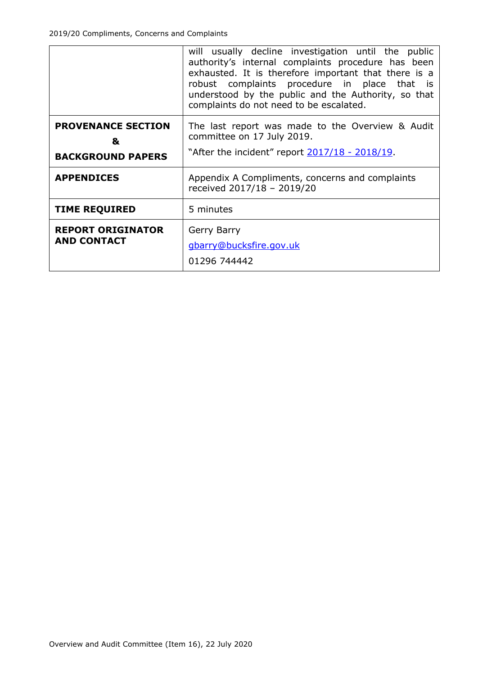|                                                            | will usually decline investigation until the public<br>authority's internal complaints procedure has been<br>exhausted. It is therefore important that there is a<br>robust complaints procedure in place that is<br>understood by the public and the Authority, so that<br>complaints do not need to be escalated. |  |
|------------------------------------------------------------|---------------------------------------------------------------------------------------------------------------------------------------------------------------------------------------------------------------------------------------------------------------------------------------------------------------------|--|
| <b>PROVENANCE SECTION</b><br>&<br><b>BACKGROUND PAPERS</b> | The last report was made to the Overview & Audit<br>committee on 17 July 2019.<br>"After the incident" report 2017/18 - 2018/19.                                                                                                                                                                                    |  |
| <b>APPENDICES</b>                                          | Appendix A Compliments, concerns and complaints<br>received 2017/18 - 2019/20                                                                                                                                                                                                                                       |  |
| <b>TIME REQUIRED</b>                                       | 5 minutes                                                                                                                                                                                                                                                                                                           |  |
| <b>REPORT ORIGINATOR</b><br><b>AND CONTACT</b>             | Gerry Barry<br>gbarry@bucksfire.gov.uk<br>01296 744442                                                                                                                                                                                                                                                              |  |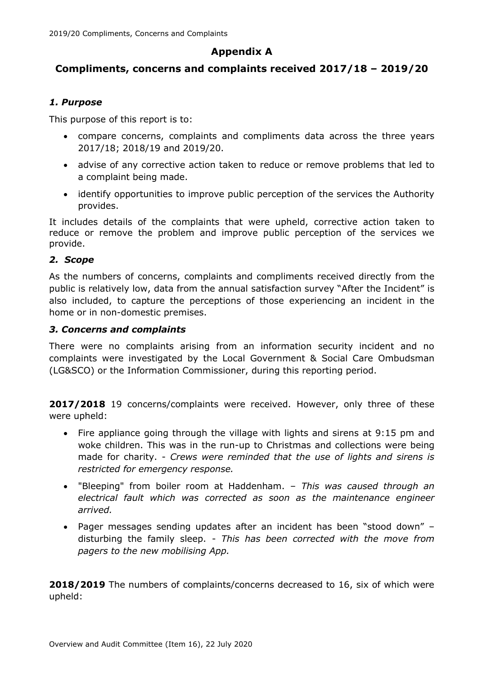## **Appendix A**

### **Compliments, concerns and complaints received 2017/18 – 2019/20**

#### *1. Purpose*

This purpose of this report is to:

- compare concerns, complaints and compliments data across the three years 2017/18; 2018/19 and 2019/20.
- advise of any corrective action taken to reduce or remove problems that led to a complaint being made.
- identify opportunities to improve public perception of the services the Authority provides.

It includes details of the complaints that were upheld, corrective action taken to reduce or remove the problem and improve public perception of the services we provide.

#### *2. Scope*

As the numbers of concerns, complaints and compliments received directly from the public is relatively low, data from the annual satisfaction survey "After the Incident" is also included, to capture the perceptions of those experiencing an incident in the home or in non-domestic premises.

#### *3. Concerns and complaints*

There were no complaints arising from an information security incident and no complaints were investigated by the Local Government & Social Care Ombudsman (LG&SCO) or the Information Commissioner, during this reporting period.

**2017/2018** 19 concerns/complaints were received. However, only three of these were upheld:

- Fire appliance going through the village with lights and sirens at 9:15 pm and woke children. This was in the run-up to Christmas and collections were being made for charity. - *Crews were reminded that the use of lights and sirens is restricted for emergency response.*
- "Bleeping" from boiler room at Haddenham. *This was caused through an electrical fault which was corrected as soon as the maintenance engineer arrived.*
- Pager messages sending updates after an incident has been "stood down" disturbing the family sleep. - *This has been corrected with the move from pagers to the new mobilising App.*

**2018/2019** The numbers of complaints/concerns decreased to 16, six of which were upheld: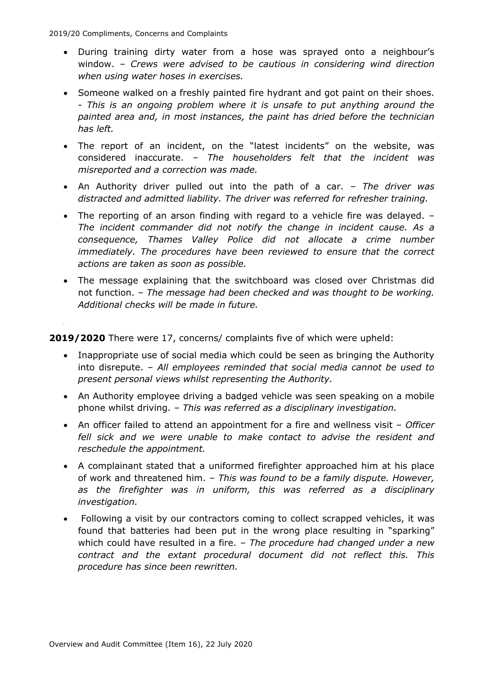- During training dirty water from a hose was sprayed onto a neighbour's window. – *Crews were advised to be cautious in considering wind direction when using water hoses in exercises.*
- Someone walked on a freshly painted fire hydrant and got paint on their shoes. - *This is an ongoing problem where it is unsafe to put anything around the painted area and, in most instances, the paint has dried before the technician has left.*
- The report of an incident, on the "latest incidents" on the website, was considered inaccurate. – *The householders felt that the incident was misreported and a correction was made.*
- An Authority driver pulled out into the path of a car. *– The driver was distracted and admitted liability. The driver was referred for refresher training.*
- The reporting of an arson finding with regard to a vehicle fire was delayed. *The incident commander did not notify the change in incident cause. As a consequence, Thames Valley Police did not allocate a crime number immediately. The procedures have been reviewed to ensure that the correct actions are taken as soon as possible.*
- The message explaining that the switchboard was closed over Christmas did not function. – *The message had been checked and was thought to be working. Additional checks will be made in future.*

**2019/2020** There were 17, concerns/ complaints five of which were upheld:

- Inappropriate use of social media which could be seen as bringing the Authority into disrepute. – *All employees reminded that social media cannot be used to present personal views whilst representing the Authority.*
- An Authority employee driving a badged vehicle was seen speaking on a mobile phone whilst driving. *– This was referred as a disciplinary investigation.*
- An officer failed to attend an appointment for a fire and wellness visit *– Officer*  fell sick and we were unable to make contact to advise the resident and *reschedule the appointment.*
- A complainant stated that a uniformed firefighter approached him at his place of work and threatened him. *– This was found to be a family dispute. However, as the firefighter was in uniform, this was referred as a disciplinary investigation.*
- Following a visit by our contractors coming to collect scrapped vehicles, it was found that batteries had been put in the wrong place resulting in "sparking" which could have resulted in a fire. *– The procedure had changed under a new contract and the extant procedural document did not reflect this. This procedure has since been rewritten.*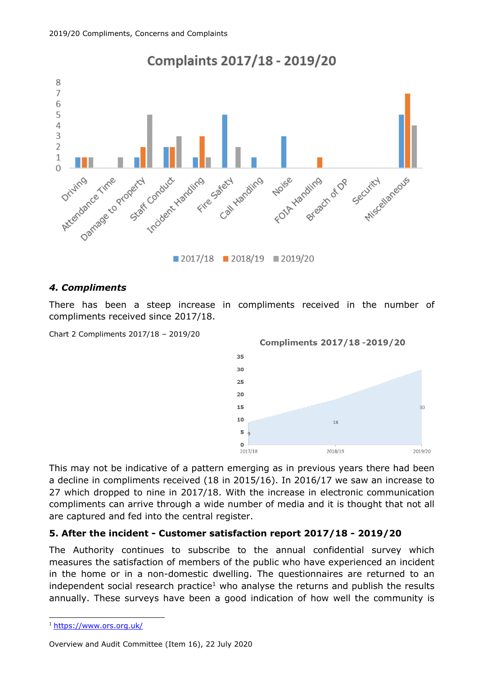

## *4. Compliments*

There has been a steep increase in compliments received in the number of compliments received since 2017/18.

Chart 2 Compliments 2017/18 – 2019/20



This may not be indicative of a pattern emerging as in previous years there had been a decline in compliments received (18 in 2015/16). In 2016/17 we saw an increase to 27 which dropped to nine in 2017/18. With the increase in electronic communication compliments can arrive through a wide number of media and it is thought that not all are captured and fed into the central register.

#### **5. After the incident - Customer satisfaction report 2017/18 - 2019/20**

The Authority continues to subscribe to the annual confidential survey which measures the satisfaction of members of the public who have experienced an incident in the home or in a non-domestic dwelling. The questionnaires are returned to an independent social research practice<sup>1</sup> who analyse the returns and publish the results annually. These surveys have been a good indication of how well the community is

Overview and Audit Committee (Item 16), 22 July 2020

<sup>&</sup>lt;sup>1</sup> <https://www.ors.org.uk/>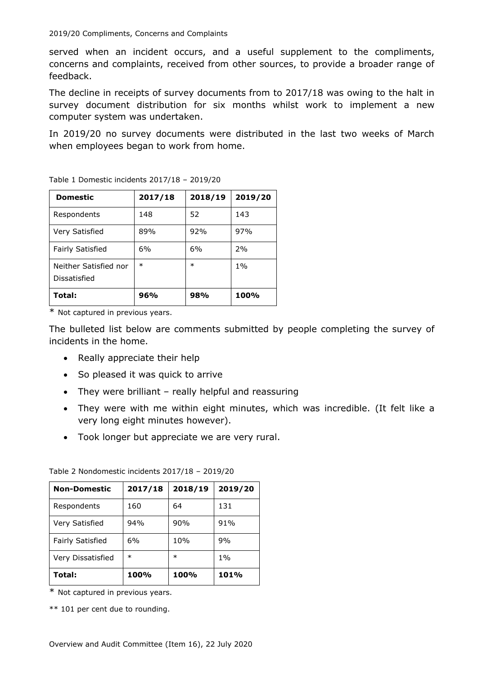served when an incident occurs, and a useful supplement to the compliments, concerns and complaints, received from other sources, to provide a broader range of feedback.

The decline in receipts of survey documents from to 2017/18 was owing to the halt in survey document distribution for six months whilst work to implement a new computer system was undertaken.

In 2019/20 no survey documents were distributed in the last two weeks of March when employees began to work from home.

| <b>Domestic</b>                       | 2017/18 | 2018/19 | 2019/20 |
|---------------------------------------|---------|---------|---------|
| Respondents                           | 148     | 52      | 143     |
| Very Satisfied                        | 89%     | 92%     | 97%     |
| <b>Fairly Satisfied</b>               | 6%      | 6%      | 2%      |
| Neither Satisfied nor<br>Dissatisfied | $\ast$  | $\ast$  | $1\%$   |
| Total:                                | 96%     | 98%     | 100%    |

Table 1 Domestic incidents 2017/18 – 2019/20

\* Not captured in previous years.

The bulleted list below are comments submitted by people completing the survey of incidents in the home.

- Really appreciate their help
- So pleased it was quick to arrive
- They were brilliant really helpful and reassuring
- They were with me within eight minutes, which was incredible. (It felt like a very long eight minutes however).
- Took longer but appreciate we are very rural.

| <b>Non-Domestic</b>     | 2017/18 | 2018/19 | 2019/20 |
|-------------------------|---------|---------|---------|
| Respondents             | 160     | 64      | 131     |
| Very Satisfied          | 94%     | 90%     | 91%     |
| <b>Fairly Satisfied</b> | 6%      | 10%     | 9%      |
| Very Dissatisfied       | $\ast$  | $\ast$  | $1\%$   |
| Total:                  | 100%    | 100%    | 101%    |

Table 2 Nondomestic incidents 2017/18 – 2019/20

\* Not captured in previous years.

\*\* 101 per cent due to rounding.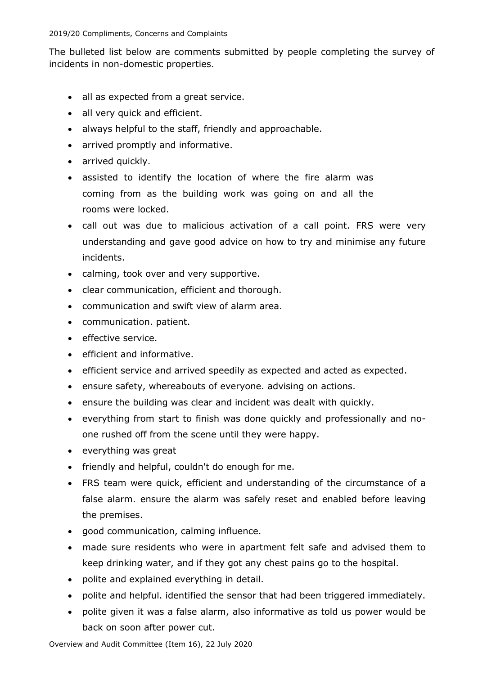The bulleted list below are comments submitted by people completing the survey of incidents in non-domestic properties.

- all as expected from a great service.
- all very quick and efficient.
- always helpful to the staff, friendly and approachable.
- arrived promptly and informative.
- arrived quickly.
- assisted to identify the location of where the fire alarm was coming from as the building work was going on and all the rooms were locked.
- call out was due to malicious activation of a call point. FRS were very understanding and gave good advice on how to try and minimise any future incidents.
- calming, took over and very supportive.
- clear communication, efficient and thorough.
- communication and swift view of alarm area.
- communication. patient.
- effective service.
- efficient and informative.
- efficient service and arrived speedily as expected and acted as expected.
- ensure safety, whereabouts of everyone. advising on actions.
- ensure the building was clear and incident was dealt with quickly.
- everything from start to finish was done quickly and professionally and noone rushed off from the scene until they were happy.
- everything was great
- friendly and helpful, couldn't do enough for me.
- FRS team were quick, efficient and understanding of the circumstance of a false alarm. ensure the alarm was safely reset and enabled before leaving the premises.
- good communication, calming influence.
- made sure residents who were in apartment felt safe and advised them to keep drinking water, and if they got any chest pains go to the hospital.
- polite and explained everything in detail.
- polite and helpful. identified the sensor that had been triggered immediately.
- polite given it was a false alarm, also informative as told us power would be back on soon after power cut.